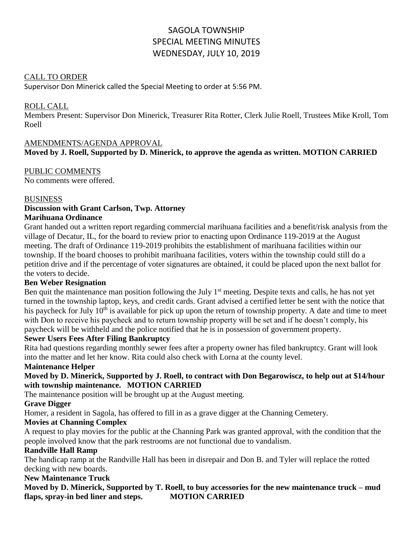# SAGOLA TOWNSHIP SPECIAL MEETING MINUTES WEDNESDAY, JULY 10, 2019

## CALL TO ORDER

Supervisor Don Minerick called the Special Meeting to order at 5:56 PM.

#### ROLL CALL

Members Present: Supervisor Don Minerick, Treasurer Rita Rotter, Clerk Julie Roell, Trustees Mike Kroll, Tom Roell

#### AMENDMENTS/AGENDA APPROVAL

# **Moved by J. Roell, Supported by D. Minerick, to approve the agenda as written. MOTION CARRIED**

PUBLIC COMMENTS No comments were offered.

#### **BUSINESS**

#### **Discussion with Grant Carlson, Twp. Attorney Marihuana Ordinance**

Grant handed out a written report regarding commercial marihuana facilities and a benefit/risk analysis from the village of Decatur, IL, for the board to review prior to enacting upon Ordinance 119-2019 at the August meeting. The draft of Ordinance 119-2019 prohibits the establishment of marihuana facilities within our township. If the board chooses to prohibit marihuana facilities, voters within the township could still do a petition drive and if the percentage of voter signatures are obtained, it could be placed upon the next ballot for the voters to decide.

#### **Ben Weber Resignation**

Ben quit the maintenance man position following the July  $1<sup>st</sup>$  meeting. Despite texts and calls, he has not yet turned in the township laptop, keys, and credit cards. Grant advised a certified letter be sent with the notice that his paycheck for July 10<sup>th</sup> is available for pick up upon the return of township property. A date and time to meet with Don to receive his paycheck and to return township property will be set and if he doesn't comply, his paycheck will be withheld and the police notified that he is in possession of government property.

#### **Sewer Users Fees After Filing Bankruptcy**

Rita had questions regarding monthly sewer fees after a property owner has filed bankruptcy. Grant will look into the matter and let her know. Rita could also check with Lorna at the county level.

#### **Maintenance Helper**

# **Moved by D. Minerick, Supported by J. Roell, to contract with Don Begarowiscz, to help out at \$14/hour with township maintenance. MOTION CARRIED**

The maintenance position will be brought up at the August meeting.

#### **Grave Digger**

Homer, a resident in Sagola, has offered to fill in as a grave digger at the Channing Cemetery.

#### **Movies at Channing Complex**

A request to play movies for the public at the Channing Park was granted approval, with the condition that the people involved know that the park restrooms are not functional due to vandalism.

#### **Randville Hall Ramp**

The handicap ramp at the Randville Hall has been in disrepair and Don B. and Tyler will replace the rotted decking with new boards.

#### **New Maintenance Truck**

**Moved by D. Minerick, Supported by T. Roell, to buy accessories for the new maintenance truck – mud flaps, spray-in bed liner and steps. MOTION CARRIED**